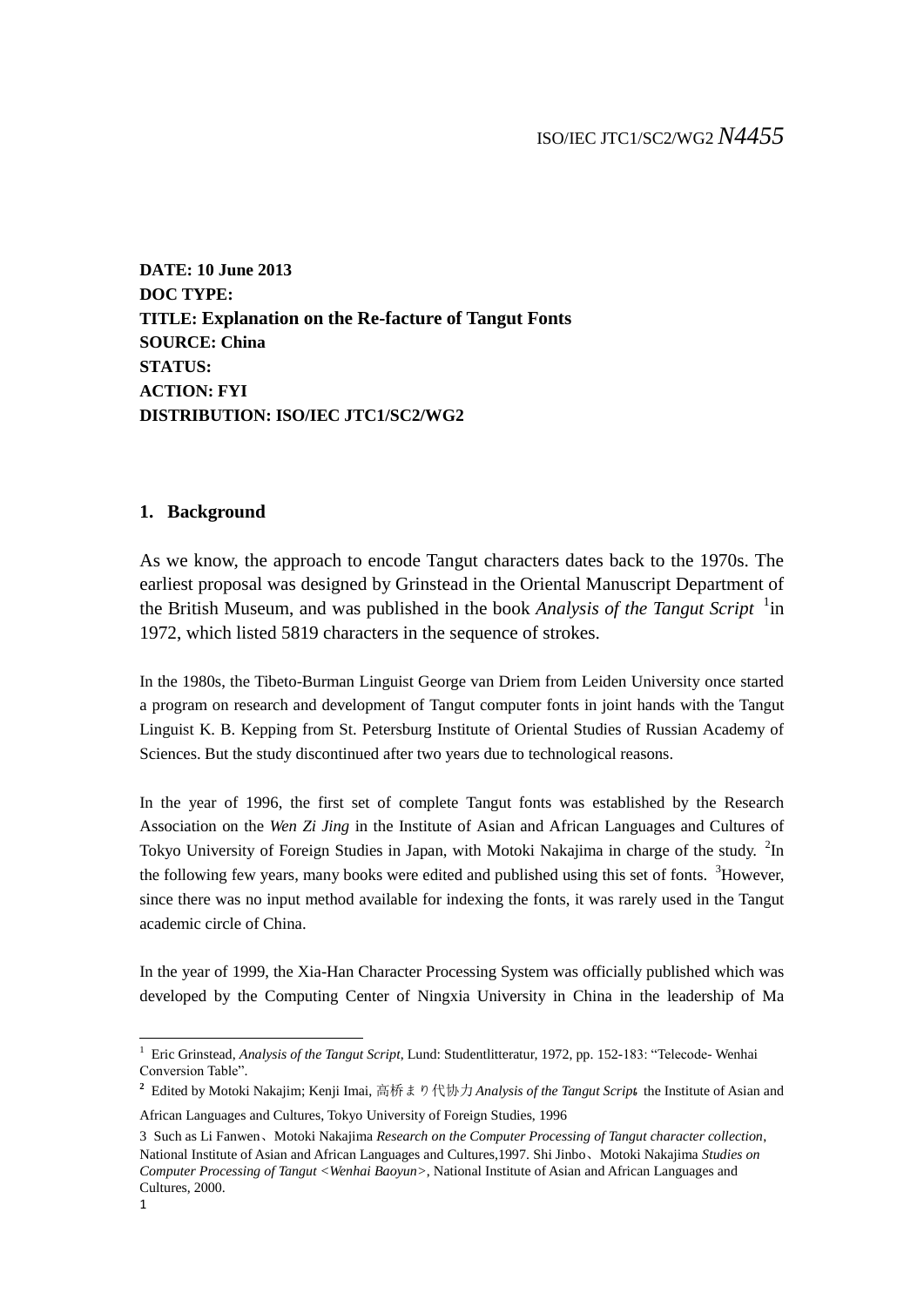**DATE: 10 June 2013 DOC TYPE: TITLE: Explanation on the Re-facture of Tangut Fonts SOURCE: China STATUS: ACTION: FYI DISTRIBUTION: ISO/IEC JTC1/SC2/WG2**

## **1. Background**

As we know, the approach to encode Tangut characters dates back to the 1970s. The earliest proposal was designed by Grinstead in the Oriental Manuscript Department of the British Museum, and was published in the book *Analysis of the Tangut Script* <sup>1</sup>in 1972, which listed 5819 characters in the sequence of strokes.

In the 1980s, the Tibeto-Burman Linguist George van Driem from Leiden University once started a program on research and development of Tangut computer fonts in joint hands with the Tangut Linguist K. B. Kepping from St. Petersburg Institute of Oriental Studies of Russian Academy of Sciences. But the study discontinued after two years due to technological reasons.

In the year of 1996, the first set of complete Tangut fonts was established by the Research Association on the *Wen Zi Jing* in the Institute of Asian and African Languages and Cultures of Tokyo University of Foreign Studies in Japan, with Motoki Nakajima in charge of the study. <sup>2</sup>In the following few years, many books were edited and published using this set of fonts. <sup>3</sup>However, since there was no input method available for indexing the fonts, it was rarely used in the Tangut academic circle of China.

In the year of 1999, the Xia-Han Character Processing System was officially published which was developed by the Computing Center of Ningxia University in China in the leadership of Ma

<u>.</u>

<sup>1</sup> Eric Grinstead, *Analysis of the Tangut Script*, Lund: Studentlitteratur, 1972, pp. 152-183: "Telecode- Wenhai Conversion Table".

 $2$  Edited by Motoki Nakajim; Kenji Imai, 高桥まり代协力*Analysis of the Tangut Script*, the Institute of Asian and

African Languages and Cultures, Tokyo University of Foreign Studies, 1996

<sup>3</sup> Such as Li Fanwen、Motoki Nakajima *Research on the Computer Processing of Tangut character collection*, National Institute of Asian and African Languages and Cultures,1997. Shi Jinbo、Motoki Nakajima *Studies on Computer Processing of Tangut <Wenhai Baoyun>*, National Institute of Asian and African Languages and Cultures, 2000.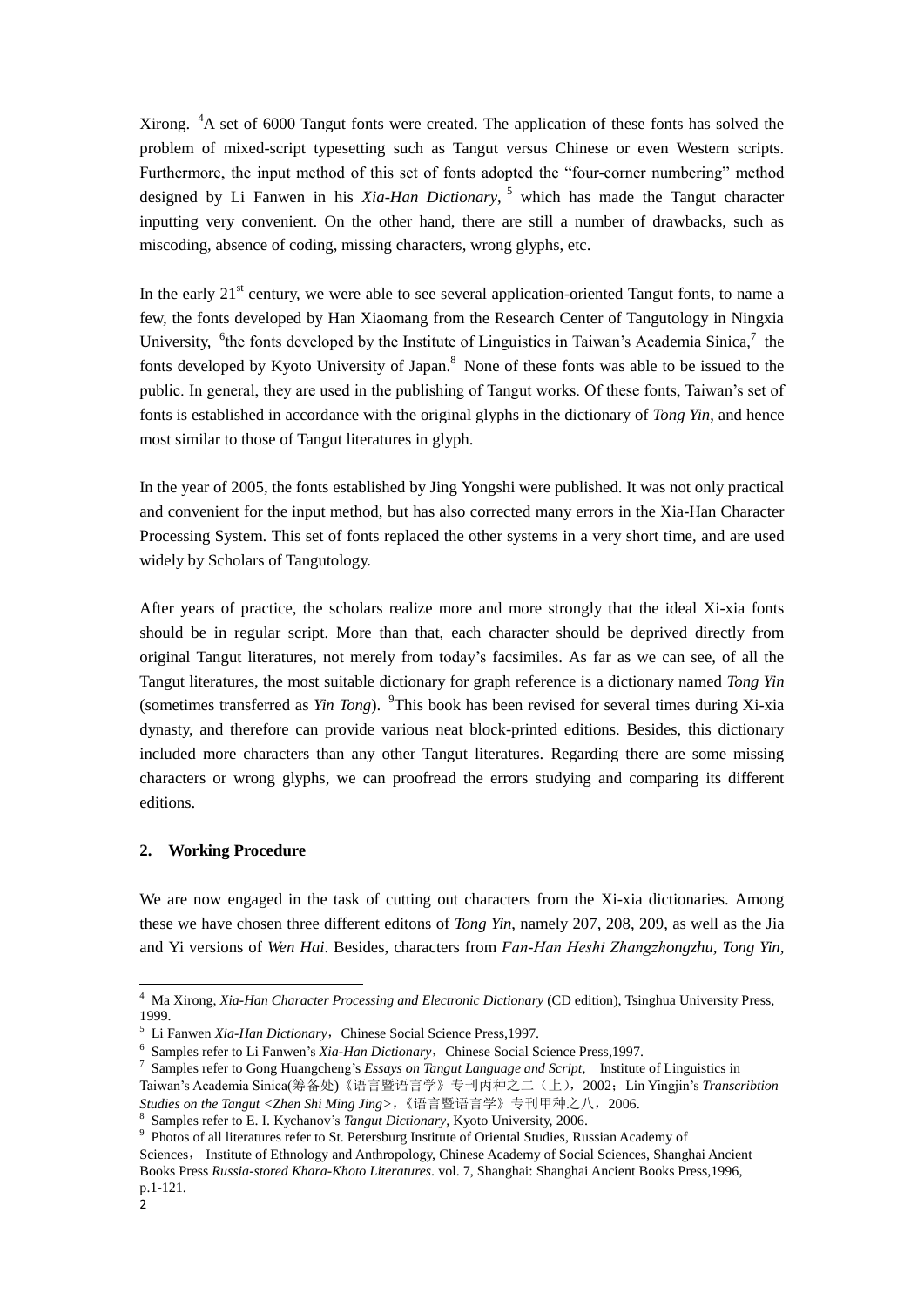Xirong. <sup>4</sup>A set of 6000 Tangut fonts were created. The application of these fonts has solved the problem of mixed-script typesetting such as Tangut versus Chinese or even Western scripts. Furthermore, the input method of this set of fonts adopted the "four-corner numbering" method designed by Li Fanwen in his *Xia-Han Dictionary*, <sup>5</sup> which has made the Tangut character inputting very convenient. On the other hand, there are still a number of drawbacks, such as miscoding, absence of coding, missing characters, wrong glyphs, etc.

In the early  $21<sup>st</sup>$  century, we were able to see several application-oriented Tangut fonts, to name a few, the fonts developed by Han Xiaomang from the Research Center of Tangutology in Ningxia University, <sup>6</sup>the fonts developed by the Institute of Linguistics in Taiwan's Academia Sinica,<sup>7</sup> the fonts developed by Kyoto University of Japan.<sup>8</sup> None of these fonts was able to be issued to the public. In general, they are used in the publishing of Tangut works. Of these fonts, Taiwan's set of fonts is established in accordance with the original glyphs in the dictionary of *Tong Yin*, and hence most similar to those of Tangut literatures in glyph.

In the year of 2005, the fonts established by Jing Yongshi were published. It was not only practical and convenient for the input method, but has also corrected many errors in the Xia-Han Character Processing System. This set of fonts replaced the other systems in a very short time, and are used widely by Scholars of Tangutology.

After years of practice, the scholars realize more and more strongly that the ideal Xi-xia fonts should be in regular script. More than that, each character should be deprived directly from original Tangut literatures, not merely from today's facsimiles. As far as we can see, of all the Tangut literatures, the most suitable dictionary for graph reference is a dictionary named *Tong Yin* (sometimes transferred as *Yin Tong*). <sup>9</sup>This book has been revised for several times during Xi-xia dynasty, and therefore can provide various neat block-printed editions. Besides, this dictionary included more characters than any other Tangut literatures. Regarding there are some missing characters or wrong glyphs, we can proofread the errors studying and comparing its different editions.

## **2. Working Procedure**

We are now engaged in the task of cutting out characters from the Xi-xia dictionaries. Among these we have chosen three different editons of *Tong Yin*, namely 207, 208, 209, as well as the Jia and Yi versions of *Wen Hai*. Besides, characters from *Fɑn-Hɑn Heshi Zhɑngzhongzhu, Tong Yin,* 

<sup>9</sup> Photos of all literatures refer to St. Petersburg Institute of Oriental Studies, Russian Academy of Sciences, Institute of Ethnology and Anthropology, Chinese Academy of Social Sciences, Shanghai Ancient Books Press *Russia-stored Khara-Khoto Literatures*. vol. 7, Shanghai: Shanghai Ancient Books Press,1996, p.1-121.

-

<sup>4</sup> Ma Xirong, *Xia-Han Character Processing and Electronic Dictionary* (CD edition), Tsinghua University Press, 1999.

<sup>&</sup>lt;sup>5</sup> Li Fanwen *Xia-Han Dictionary*, Chinese Social Science Press, 1997.

<sup>&</sup>lt;sup>6</sup> Samples refer to Li Fanwen's *Xia-Han Dictionary*, Chinese Social Science Press,1997.

<sup>7</sup> Samples refer to Gong Huangcheng's *Essays on Tangut Language and Script*, Institute of Linguistics in Taiwan's Academia Sinica(筹备处)《语言暨语言学》专刊丙种之二(上),2002;Lin Yingjin's *Transcribtion Studies on the Tangut <Zhen Shi Ming Jing>*,《语言暨语言学》专刊甲种之八,2006.

<sup>8</sup> Samples refer to E. I. Kychanov's *Tangut Dictionary*, Kyoto University, 2006.